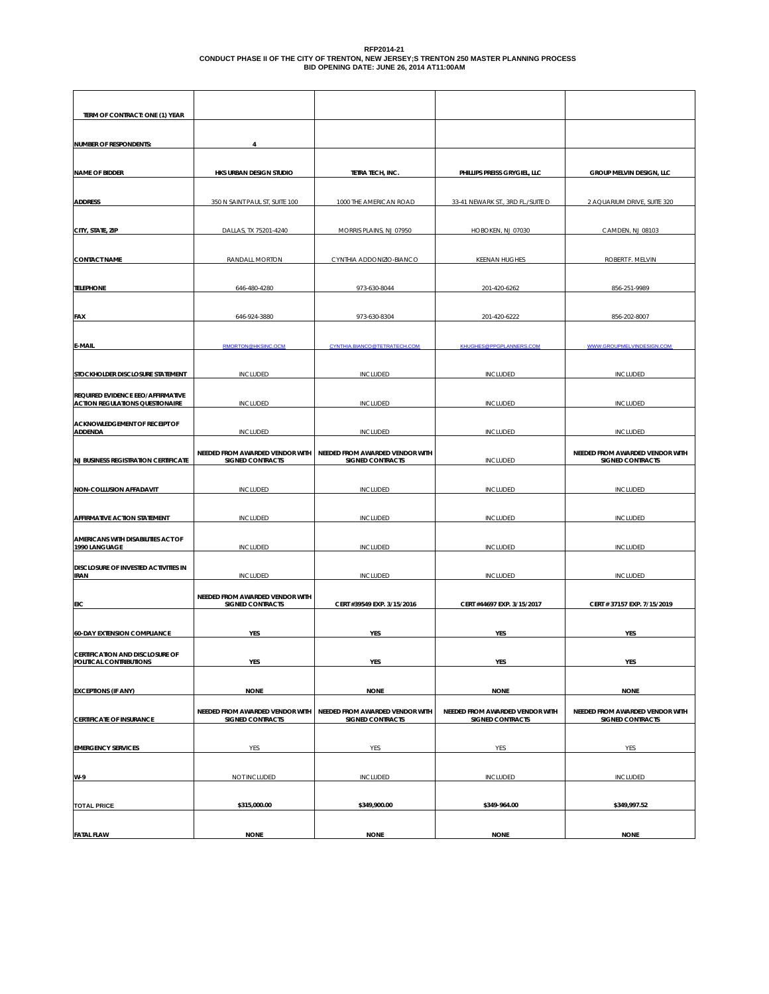## RFP2014-21<br>CONDUCT PHASE II OF THE CITY OF TRENTON, NEW JERSEY;S TRENTON 250 MASTER PLANNING PROCESS<br>BID OPENING DATE: JUNE 26, 2014 AT11:00AM

| TERM OF CONTRACT: ONE (1) YEAR                             |                                                            |                                                     |                                   |                                                            |
|------------------------------------------------------------|------------------------------------------------------------|-----------------------------------------------------|-----------------------------------|------------------------------------------------------------|
|                                                            |                                                            |                                                     |                                   |                                                            |
| <b>NUMBER OF RESPONDENTS:</b>                              | Δ                                                          |                                                     |                                   |                                                            |
|                                                            |                                                            |                                                     |                                   |                                                            |
| <b>NAME OF BIDDER</b>                                      | HKS URBAN DESIGN STUDIO                                    | TETRA TECH, INC.                                    | PHILLIPS PREISS GRYGIEL, LLC      | GROUP MELVIN DESIGN, LLC                                   |
|                                                            |                                                            |                                                     |                                   |                                                            |
| <b>ADDRESS</b>                                             | 350 N SAINT PAUL ST, SUITE 100                             | 1000 THE AMERICAN ROAD                              | 33-41 NEWARK ST., 3RD FL./SUITE D | 2 AQUARIUM DRIVE, SUITE 320                                |
|                                                            |                                                            | MORRIS PLAINS, NJ 07950                             | HOBOKEN, NJ 07030                 | CAMDEN, NJ 08103                                           |
| CITY, STATE, ZIP                                           | DALLAS, TX 75201-4240                                      |                                                     |                                   |                                                            |
| <b>CONTACT NAME</b>                                        | RANDALL MORTON                                             | CYNTHIA ADDONIZIO-BIANCO                            | <b>KEENAN HUGHES</b>              | ROBERT F. MELVIN                                           |
|                                                            |                                                            |                                                     |                                   |                                                            |
| <b>TELEPHONE</b>                                           | 646-480-4280                                               | 973-630-8044                                        | 201-420-6262                      | 856-251-9989                                               |
|                                                            |                                                            |                                                     |                                   |                                                            |
| FAX                                                        | 646-924-3880                                               | 973-630-8304                                        | 201-420-6222                      | 856-202-8007                                               |
|                                                            |                                                            |                                                     |                                   |                                                            |
| E-MAIL                                                     | RMORTON@HKSINC.OCM                                         | CYNTHIA.BIANCO@TETRATECH.COM                        | KHUGHES@PPGPLANNERS.COM           | WWW.GROUPMELVINDESIGN.COM                                  |
|                                                            |                                                            |                                                     |                                   |                                                            |
| STOCKHOLDER DISCLOSURE STATEMENT                           | <b>INCLUDED</b>                                            | <b>INCLUDED</b>                                     | <b>INCLUDED</b>                   | <b>INCLUDED</b>                                            |
| REQUIRED EVIDENCE EEO/AFFIRMATIVE                          |                                                            |                                                     |                                   |                                                            |
| <b>ACTION REGULATIONS QUESTIONAIRE</b>                     | <b>INCLUDED</b>                                            | <b>INCLUDED</b>                                     | <b>INCLUDED</b>                   | <b>INCLUDED</b>                                            |
| ACKNOWLEDGEMENT OF RECEIPT OF<br><b>ADDENDA</b>            | <b>INCLUDED</b>                                            | <b>INCLUDED</b>                                     | <b>INCLUDED</b>                   | <b>INCLUDED</b>                                            |
|                                                            |                                                            |                                                     |                                   |                                                            |
| <b>NJ BUSINESS REGISTRATION CERTIFICATE</b>                | NEEDED FROM AWARDED VENDOR WITH<br><b>SIGNED CONTRACTS</b> | NEEDED FROM AWARDED VENDOR WITH<br>SIGNED CONTRACTS | <b>INCLUDED</b>                   | NEEDED FROM AWARDED VENDOR WITH<br><b>SIGNED CONTRACTS</b> |
|                                                            |                                                            |                                                     |                                   |                                                            |
| NON-COLLUSION AFFADAVIT                                    | <b>INCLUDED</b>                                            | <b>INCLUDED</b>                                     | <b>INCLUDED</b>                   | <b>INCLUDED</b>                                            |
|                                                            |                                                            |                                                     |                                   |                                                            |
| AFFIRMATIVE ACTION STATEMENT                               | <b>INCLUDED</b>                                            | <b>INCLUDED</b>                                     | <b>INCLUDED</b>                   | <b>INCLUDED</b>                                            |
| AMERICANS WITH DISABILITIES ACT OF                         |                                                            |                                                     |                                   |                                                            |
| 1990 LANGUAGE                                              | <b>INCLUDED</b>                                            | <b>INCLUDED</b>                                     | <b>INCLUDED</b>                   | <b>INCLUDED</b>                                            |
| DISCLOSURE OF INVESTED ACTIVITIES IN                       |                                                            |                                                     |                                   |                                                            |
| <b>IRAN</b>                                                | <b>INCLUDED</b>                                            | INCLUDED                                            | <b>INCLUDED</b>                   | <b>INCLUDED</b>                                            |
|                                                            | NEEDED FROM AWARDED VENDOR WITH                            |                                                     |                                   |                                                            |
| EIC                                                        | <b>SIGNED CONTRACTS</b>                                    | CERT #39549 EXP. 3/15/2016                          | CERT #44697 EXP. 3/15/2017        | CERT # 37157 EXP. 7/15/2019                                |
| <b>60-DAY EXTENSION COMPLIANCE</b>                         | YES                                                        | YES                                                 | YES                               | YES                                                        |
|                                                            |                                                            |                                                     |                                   |                                                            |
| CERTIFICATION AND DISCLOSURE OF<br>POLITICAL CONTRIBUTIONS | YES                                                        | YES                                                 | YES                               | YES                                                        |
|                                                            |                                                            |                                                     |                                   |                                                            |
| <b>EXCEPTIONS (IF ANY)</b>                                 | <b>NONE</b>                                                | <b>NONE</b>                                         | <b>NONE</b>                       | <b>NONE</b>                                                |
|                                                            | NEEDED FROM AWARDED VENDOR WITH                            | NEEDED FROM AWARDED VENDOR WITH                     | NEEDED FROM AWARDED VENDOR WITH   | NEEDED FROM AWARDED VENDOR WITH                            |
| <b>CERTIFICATE OF INSURANCE</b>                            | SIGNED CONTRACTS                                           | SIGNED CONTRACTS                                    | SIGNED CONTRACTS                  | <b>SIGNED CONTRACTS</b>                                    |
|                                                            |                                                            |                                                     |                                   |                                                            |
| <b>EMERGENCY SERVICES</b>                                  | YES                                                        | YES                                                 | YES                               | YES                                                        |
|                                                            |                                                            |                                                     |                                   |                                                            |
| W-9                                                        | NOT INCLUDED                                               | <b>INCLUDED</b>                                     | <b>INCLUDED</b>                   | <b>INCLUDED</b>                                            |
| <b>TOTAL PRICE</b>                                         | \$315,000.00                                               | \$349,900.00                                        | \$349-964.00                      | \$349,997.52                                               |
|                                                            |                                                            |                                                     |                                   |                                                            |
| <b>FATAL FLAW</b>                                          | <b>NONE</b>                                                | <b>NONE</b>                                         | <b>NONE</b>                       | <b>NONE</b>                                                |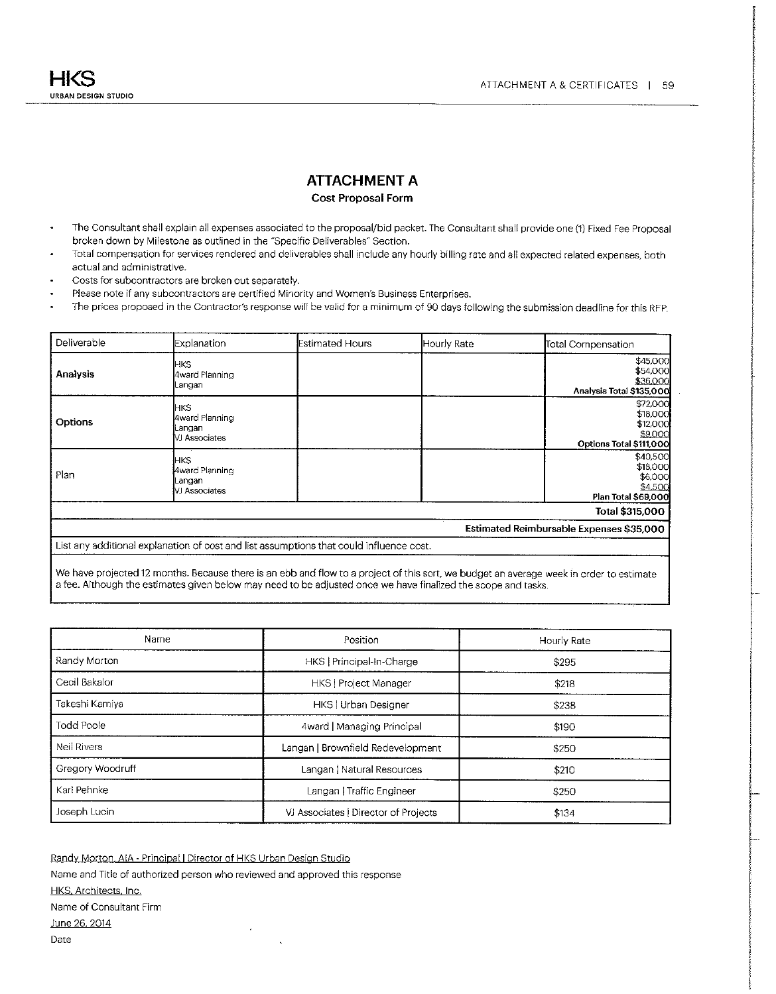#### **ATTACHMENT A**

#### Cost Proposal Form

- The Consultant shall explain all expenses associated to the proposal/bid packet. The Consultant shall provide one (1) Fixed Fee Proposal  $\bullet$ broken down by Milestone as outlined in the "Specific Deliverables" Section.
- Total compensation for services rendered and deliverables shall include any hourly billing rate and all expected related expenses, both  $\cdot$ actual and administrative.
- Costs for subcontractors are broken out separately.  $\cdot$
- Please note if any subcontractors are certified Minority and Women's Business Enterprises.
- The prices proposed in the Contractor's response will be valid for a minimum of 90 days following the submission deadline for this RFP.  $\overline{\phantom{a}}$

| Deliverable     | <b>Explanation</b>                                | <b>Estimated Hours</b>                                                                  | Hourly Rate | Total Compensation                                                     |
|-----------------|---------------------------------------------------|-----------------------------------------------------------------------------------------|-------------|------------------------------------------------------------------------|
| <b>Analysis</b> | <b>HKS</b><br>4ward Planning<br>Langan            |                                                                                         |             | \$45,000<br>\$54,000<br>\$36,000<br>Analysis Total \$135,000           |
| Options         | HKS.<br>4ward Planning<br>Langan<br>VJ Associates |                                                                                         |             | \$72,000<br>\$18,000<br>\$12,000<br>\$9,000<br>Options Total \$111,000 |
| Plan            | HKS.<br>4ward Planning<br>Langan<br>VJ Associates |                                                                                         |             | \$40,500<br>\$18,000<br>\$6,000<br>\$4,500<br>Plan Total \$69,000      |
|                 |                                                   |                                                                                         |             | Total \$315,000                                                        |
|                 |                                                   |                                                                                         |             | Estimated Reimbursable Expenses \$35,000                               |
|                 |                                                   | List any additional explanation of cost and list assumptions that could influence cost. |             |                                                                        |

We have projected 12 months. Because there is an ebb and flow to a project of this sort, we budget an average week in order to estimate a fee. Although the estimates given below may need to be adjusted once we have finalized the scope and tasks.

| Name               | Position                             | Hourly Rate |
|--------------------|--------------------------------------|-------------|
| Randy Morton       | HKS   Principal-In-Charge            | \$295       |
| Cecil Bakalor      | <b>HKS</b>   Project Manager         | \$218       |
| Takeshi Kamiya     | HKS   Urban Designer                 | \$238       |
| Todd Poole         | 4ward   Managing Principal           | \$190       |
| <b>Neil Rivers</b> | Langan   Brownfield Redevelopment    | \$250       |
| Gregory Woodruff   | Langan   Natural Resources           | \$210       |
| Karl Pehnke        | Langan   Traffic Engineer            | \$250       |
| Joseph Lucin       | VJ Associates   Director of Projects | \$134       |

Randy Morton, AIA - Principal | Director of HKS Urban Design Studio Name and Title of authorized person who reviewed and approved this response HKS, Architects, Inc. Name of Consultant Firm June 26, 2014 Date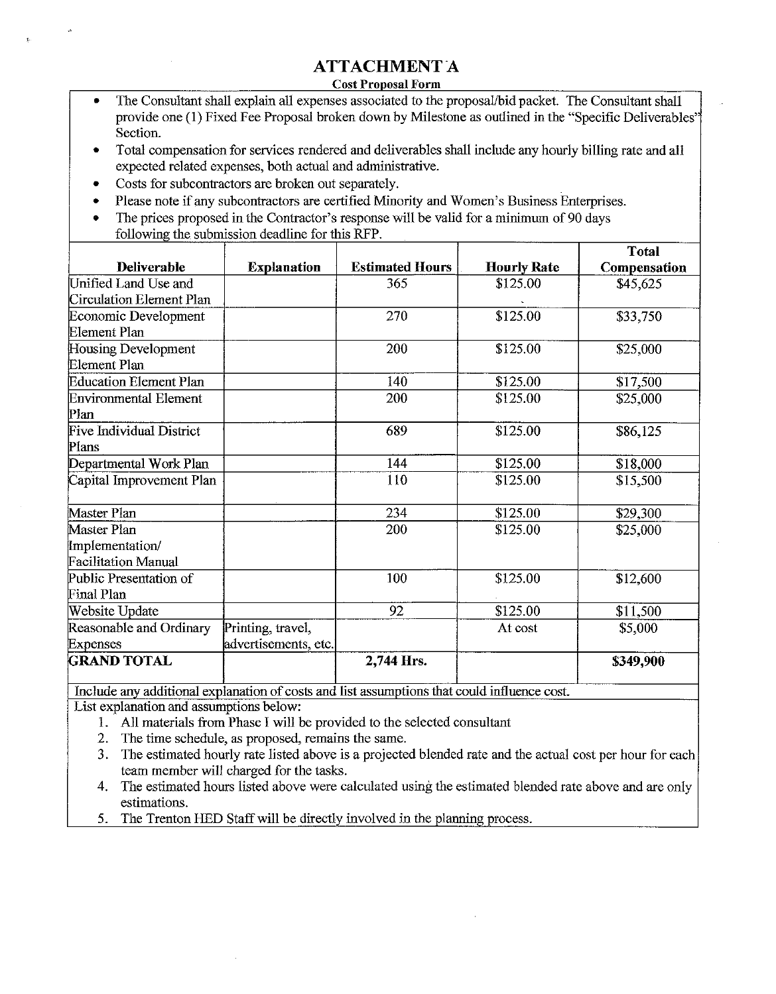### **ATTACHMENT A**

**Cost Proposal Form** 

- The Consultant shall explain all expenses associated to the proposal/bid packet. The Consultant shall provide one (1) Fixed Fee Proposal broken down by Milestone as outlined in the "Specific Deliverables" Section.
- Total compensation for services rendered and deliverables shall include any hourly billing rate and all expected related expenses, both actual and administrative.
- Costs for subcontractors are broken out separately.
- Please note if any subcontractors are certified Minority and Women's Business Enterprises.
- The prices proposed in the Contractor's response will be valid for a minimum of 90 days  $\bullet$ following the submission deadline for this RFP.

|                              |                      |                        |                    | Total        |
|------------------------------|----------------------|------------------------|--------------------|--------------|
| <b>Deliverable</b>           | <b>Explanation</b>   | <b>Estimated Hours</b> | <b>Hourly Rate</b> | Compensation |
| Unified Land Use and         |                      | 365                    | \$125.00           | \$45,625     |
| Circulation Element Plan     |                      |                        |                    |              |
| Economic Development         |                      | 270                    | \$125.00           | \$33,750     |
| Element Plan                 |                      |                        |                    |              |
| Housing Development          |                      | 200                    | \$125.00           | \$25,000     |
| Element Plan                 |                      |                        |                    |              |
| Education Element Plan       |                      | 140                    | \$125.00           | \$17,500     |
| <b>Environmental Element</b> |                      | 200                    | \$125.00           | \$25,000     |
| Plan                         |                      |                        |                    |              |
| Five Individual District     |                      | 689                    | \$125.00           | \$86,125     |
| Plans                        |                      |                        |                    |              |
| Departmental Work Plan       |                      | 144                    | \$125.00           | \$18,000     |
| Capital Improvement Plan     |                      | 110                    | \$125.00           | \$15,500     |
|                              |                      |                        |                    |              |
| Master Plan                  |                      | 234                    | \$125.00           | \$29,300     |
| Master Plan                  |                      | 200                    | \$125.00           | \$25,000     |
| Implementation/              |                      |                        |                    |              |
| <b>Facilitation Manual</b>   |                      |                        |                    |              |
| Public Presentation of       |                      | 100                    | \$125.00           | \$12,600     |
| Final Plan                   |                      |                        |                    |              |
| Website Update               |                      | 92                     | \$125.00           | \$11,500     |
| Reasonable and Ordinary      | Printing, travel,    |                        | At cost            | \$5,000      |
| <b>Expenses</b>              | advertisements, etc. |                        |                    |              |
| <b>GRAND TOTAL</b>           |                      | 2,744 Hrs.             |                    | \$349,900    |

Include any additional explanation of costs and list assumptions that could influence cost. List explanation and assumptions below:

- 1. All materials from Phase I will be provided to the selected consultant
- 2. The time schedule, as proposed, remains the same.
- 3. The estimated hourly rate listed above is a projected blended rate and the actual cost per hour for each team member will charged for the tasks.
- 4. The estimated hours listed above were calculated using the estimated blended rate above and are only estimations.
- The Trenton HED Staff will be directly involved in the planning process. 5.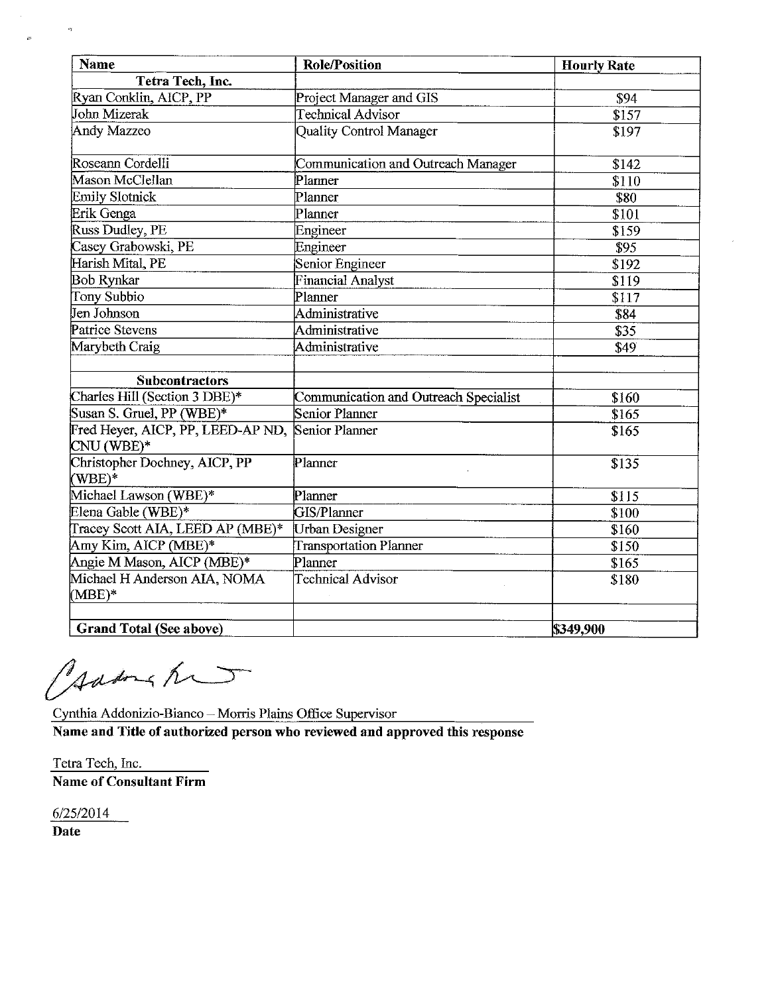| Name                                            | <b>Role/Position</b>                  | <b>Hourly Rate</b> |
|-------------------------------------------------|---------------------------------------|--------------------|
| Tetra Tech, Inc.                                |                                       |                    |
| Ryan Conklin, AICP, PP                          | Project Manager and GIS               | \$94               |
| John Mizerak                                    | <b>Technical Advisor</b>              | \$157              |
| Andy Mazzeo                                     | Quality Control Manager               | \$197              |
| Roseann Cordelli                                | Communication and Outreach Manager    | \$142              |
| Mason McClellan                                 | Planner                               | \$110              |
| <b>Emily Slotnick</b>                           | Planner                               | \$80               |
| Erik Genga                                      | Planner                               | \$101              |
| <b>Russ Dudley, PE</b>                          | Engineer                              | \$159              |
| Casey Grabowski, PE                             | Engineer                              | \$95               |
| Harish Mital, PE                                | Senior Engineer                       | $\overline{$}192$  |
| <b>Bob Rynkar</b>                               | <b>Financial Analyst</b>              | \$119              |
| Tony Subbio                                     | Planner                               | \$117              |
| Jen Johnson                                     | Administrative                        | \$84               |
| Patrice Stevens                                 | Administrative                        | \$35               |
| Marybeth Craig                                  | Administrative                        | \$49               |
| <b>Subcontractors</b>                           |                                       |                    |
| Charles Hill (Section 3 DBE)*                   | Communication and Outreach Specialist | \$160              |
| Susan S. Gruel, PP (WBE)*                       | Senior Planner                        | \$165              |
| Fred Heyer, AICP, PP, LEED-AP ND,<br>CNU (WBE)* | Senior Planner                        | \$165              |
| Christopher Dochney, AICP, PP<br>$(WBE)*$       | Planner                               | \$135              |
| Michael Lawson (WBE)*                           | Planner                               | \$115              |
| Elena Gable (WBE)*                              | GIS/Planner                           | \$100              |
| Tracey Scott AIA, LEED AP (MBE)*                | Urban Designer                        | \$160              |
| Amy Kim, AICP (MBE)*                            | <b>Transportation Planner</b>         | \$150              |
| Angie M Mason, AICP (MBE)*                      | Planner                               | \$165              |
| Michael H Anderson AIA, NOMA<br>$(MBE)*$        | <b>Technical Advisor</b>              | \$180              |
| <b>Grand Total (See above)</b>                  |                                       | \$349,900          |

Jadons hun

Cynthia Addonizio-Bianco - Morris Plains Office Supervisor

Name and Title of authorized person who reviewed and approved this response

Tetra Tech, Inc. Name of Consultant Firm

6/25/2014

Date

 $\frac{1}{2}$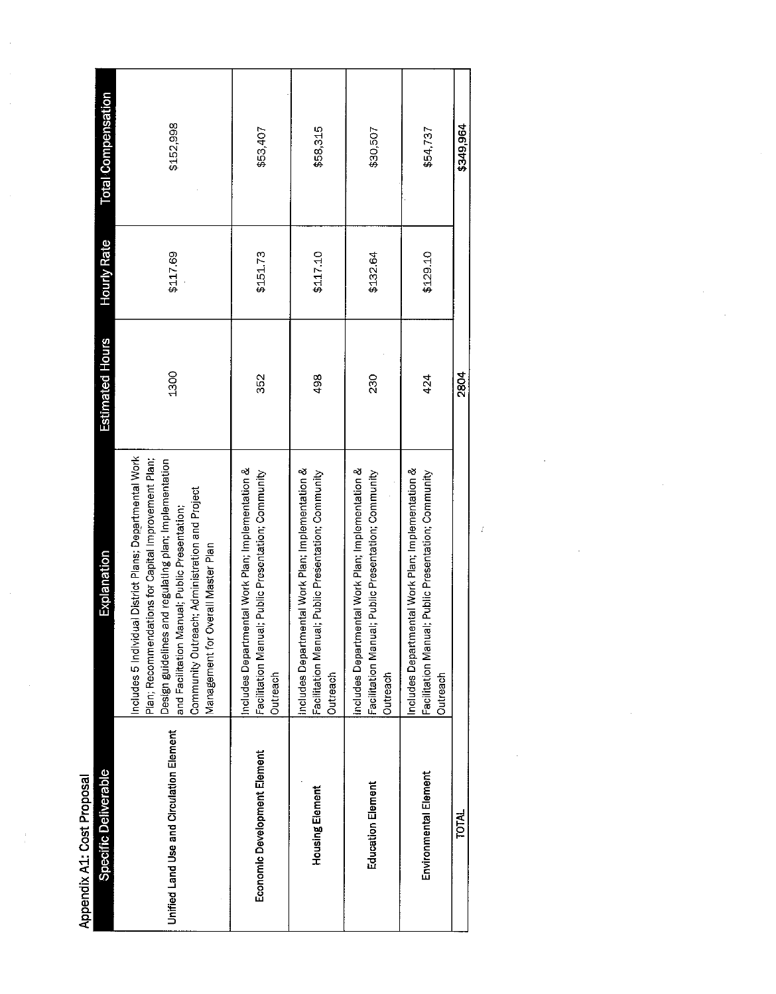Appendix A1: Cost Proposal

| Specific Deliverable                     | Explanation                                                                                                                                                                                                                                                                                                      | <b>Estimated Hours</b> | <b>Hourly Rate</b> | <b>Total Compensation</b> |
|------------------------------------------|------------------------------------------------------------------------------------------------------------------------------------------------------------------------------------------------------------------------------------------------------------------------------------------------------------------|------------------------|--------------------|---------------------------|
| Unified Land Use and Circulation Element | Includes 5 Individual District Plans; Departmental Work<br>Plan; Recommendations for Capital Improvement Plan;<br>Design guidelines and regulating plan; Implementation<br>Community Outreach; Administration and Project<br>and Facilitation Manual; Public Presentation;<br>Management for Overall Master Plan | 1300                   | \$117.69           | \$152,998                 |
| Economic Development Element             | Includes Departmental Work Plan; Implementation &<br>ual; Public Presentation; Community<br>Facilitation Man<br>Outreach                                                                                                                                                                                         | 352                    | \$151.73           | \$53,407                  |
| <b>Housing Element</b>                   | mental Work Plan; Implementation &<br>ual; Public Presentation; Community<br>Includes Depart<br>Facilitation Man<br>Outreach                                                                                                                                                                                     | 498                    | \$117.10           | \$58,315                  |
| <b>Education Element</b>                 | Includes Departmental Work Plan; Implementation &<br>ual; Public Presentation; Community<br>Facilitation Man<br>Outreach                                                                                                                                                                                         | 230                    | \$132.64           | \$30,507                  |
| Environmental Element                    | Includes Departmental Work Plan; Implementation &<br>ual; Public Presentation; Community<br>Facilitation Man<br>Outreach                                                                                                                                                                                         | 424                    | \$129.10           | \$54,737                  |
| <b>TOTAL</b>                             |                                                                                                                                                                                                                                                                                                                  | 2804                   |                    | \$349,964                 |
|                                          |                                                                                                                                                                                                                                                                                                                  |                        |                    |                           |

 $\hat{f}$